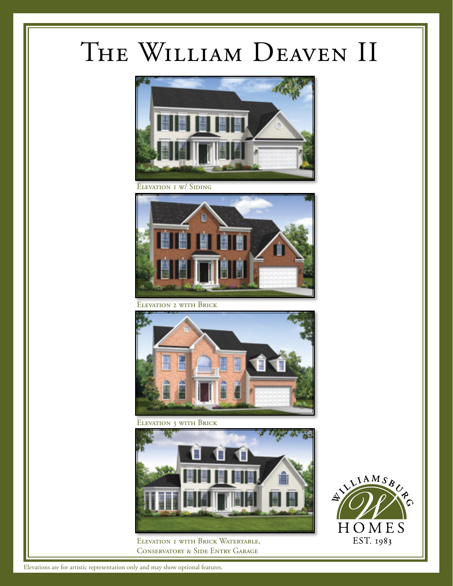## The William Deaven II



ELEVATION I W/ SIDING



Elevation 2 with Brick



Elevation 3 with Brick



ELEVATION I WITH BRICK WATERTABLE, Conservatory & Side Entry Garage



Elevations are for artistic representation only and may show optional features.